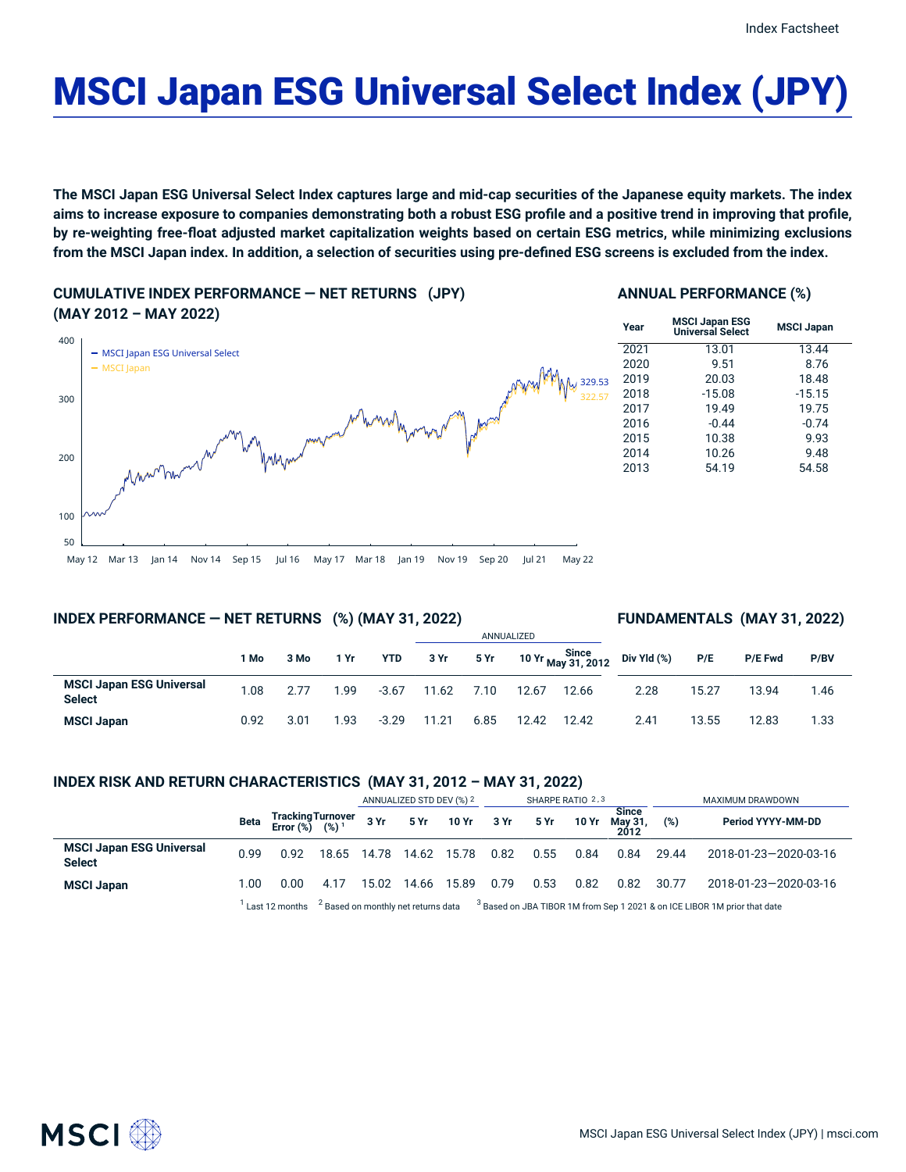**MSCI Japan**

# MSCI Japan ESG Universal Select Index (JPY)

The MSCI Japan ESG Universal Select Index captures large and mid-cap securities of the Japanese equity markets. The index aims to increase exposure to companies demonstrating both a robust ESG profile and a positive trend in improving that profile, by re-weighting free-float adjusted market capitalization weights based on certain ESG metrics, while minimizing exclusions from the MSCI Japan index. In addition, a selection of securities using pre-defined ESG screens is excluded from the index.

**CUMULATIVE INDEX PERFORMANCE — NET RETURNS (JPY) (MAY 2012 – MAY 2022)**

# **ANNUAL PERFORMANCE (%)**

| UIZ – IVIAT ZUZZJ                                                                                 | Year | <b>MSCI Japan ESG</b><br><b>Universal Select</b> |
|---------------------------------------------------------------------------------------------------|------|--------------------------------------------------|
| <b>MSCI Japan ESG Universal Select</b>                                                            | 2021 | 13.01                                            |
| <b>MSCI</b> Japan                                                                                 | 2020 | 9.51                                             |
| 329.53                                                                                            | 2019 | 20.03                                            |
| 322.57                                                                                            | 2018 | $-15.08$                                         |
|                                                                                                   | 2017 | 19.49                                            |
| Wynel<br>$k\sqrt{22}$                                                                             | 2016 | $-0.44$                                          |
| magnan                                                                                            | 2015 | 10.38                                            |
| My                                                                                                | 2014 | 10.26                                            |
| Maunhamment                                                                                       | 2013 | 54.19                                            |
|                                                                                                   |      |                                                  |
| Mar 13 Jan 14 Nov 14 Son 15 Jul 16 May 17 Mar 18 Jan 19 Nov 19 Son 20 Jul 21<br>M <sub>2</sub> 22 |      |                                                  |

| <b>rear</b> | <b>Universal Select</b> | <b>MSCI Japan</b> |
|-------------|-------------------------|-------------------|
| 2021        | 13.01                   | 13.44             |
| 2020        | 9.51                    | 8.76              |
| 2019        | 20.03                   | 18.48             |
| 2018        | $-15.08$                | $-15.15$          |
| 2017        | 19.49                   | 19.75             |
| 2016        | $-0.44$                 | $-0.74$           |
| 2015        | 10.38                   | 9.93              |
| 2014        | 10.26                   | 9.48              |
| 2013        | 54.19                   | 54.58             |
|             |                         |                   |

# May 12 Mar 13 Jan 14 Nov 14 Sep 15 Jul 16 May 17 Mar 18 Jan 19 Nov 19 Sep 20 Jul 21

# **INDEX PERFORMANCE — NET RETURNS (%) (MAY 31, 2022)**

# **FUNDAMENTALS (MAY 31, 2022)**

|                                                  |      |      |      |            |       |      | ANNUALIZED |       |                                                             |       |         |      |
|--------------------------------------------------|------|------|------|------------|-------|------|------------|-------|-------------------------------------------------------------|-------|---------|------|
|                                                  | 1 Mo | 3 Mo | 1 Yr | <b>YTD</b> | 3 Yr  | 5 Yr |            |       | 10 Yr $\frac{\text{Since}}{\text{May }31,2012}$ Div Yld (%) | P/E   | P/E Fwd | P/BV |
| <b>MSCI Japan ESG Universal</b><br><b>Select</b> | 1.08 | 2.77 | 1.99 | $-3.67$    | 11.62 | 7.10 | 12.67      | 12.66 | 2.28                                                        | 15.27 | 13.94   | 1.46 |
| <b>MSCI Japan</b>                                | 0.92 | 3.01 | 1.93 | $-3.29$    | 11.21 | 6.85 | 12.42      | 12.42 | 2.41                                                        | 13.55 | 12.83   | 1.33 |

#### **INDEX RISK AND RETURN CHARACTERISTICS (MAY 31, 2012 – MAY 31, 2022)**

|                                                  |      |                                                 |      | ANNUALIZED STD DEV (%) 2                                                                                          |       | SHARPE RATIO 2,3 |      |      |       | MAXIMUM DRAWDOWN                |       |                       |
|--------------------------------------------------|------|-------------------------------------------------|------|-------------------------------------------------------------------------------------------------------------------|-------|------------------|------|------|-------|---------------------------------|-------|-----------------------|
|                                                  | Beta | Tracking Turnover<br>Error (%) (%) <sup>1</sup> |      | 3Yr                                                                                                               |       | 5 Yr 10 Yr 3 Yr  |      | 5 Yr | 10 Yr | <b>Since</b><br>May 31,<br>2012 | (%)   | Period YYYY-MM-DD     |
| <b>MSCI Japan ESG Universal</b><br><b>Select</b> | 0.99 | 0.92                                            |      | 18.65 14.78                                                                                                       |       | 14.62 15.78      | 0.82 | 0.55 | 0.84  | 0.84                            | 29.44 | 2018-01-23-2020-03-16 |
| <b>MSCI Japan</b>                                | 1.00 | 0.00                                            | 4.17 | 15.02                                                                                                             | 14.66 | 15.89            | 0.79 | 0.53 | 0.82  | 0.82                            | 30.77 | 2018-01-23-2020-03-16 |
|                                                  |      | Last 12 months                                  |      | $3$ Based on monthly net returns data $3$ Based on JBA TIBOR 1M from Sep 1 2021 & on ICE LIBOR 1M prior that date |       |                  |      |      |       |                                 |       |                       |

50 100

200

300

400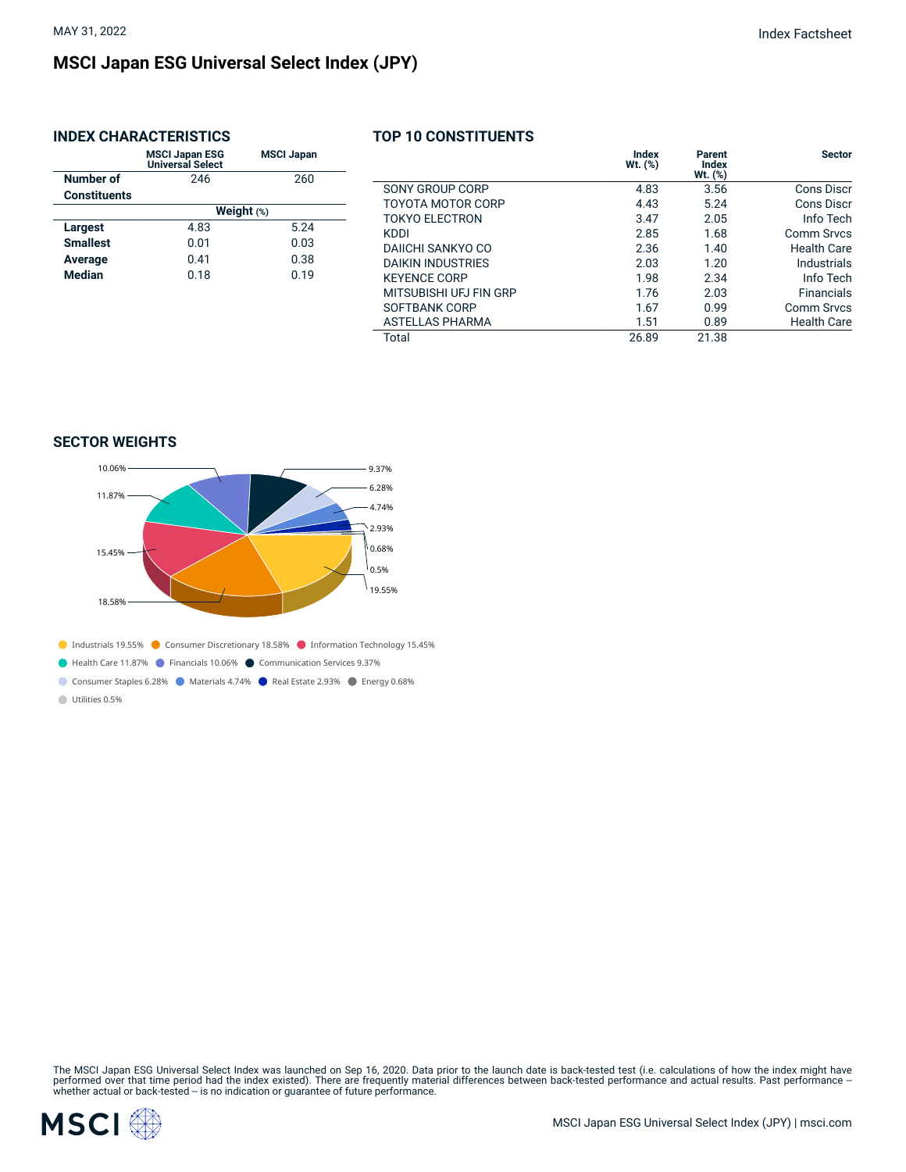# **MSCI Japan ESG Universal Select Index (JPY)**

# **INDEX CHARACTERISTICS**

|                     | <b>MSCI Japan ESG</b><br><b>Universal Select</b> | <b>MSCI Japan</b> |  |  |  |  |
|---------------------|--------------------------------------------------|-------------------|--|--|--|--|
| Number of           | 246                                              | 260               |  |  |  |  |
| <b>Constituents</b> |                                                  |                   |  |  |  |  |
|                     | Weight $(*)$                                     |                   |  |  |  |  |
| Largest             | 4.83                                             | 5.24              |  |  |  |  |
| <b>Smallest</b>     | 0.01                                             | 0.03              |  |  |  |  |
| Average             | 0.41                                             | 0.38              |  |  |  |  |
| <b>Median</b>       | 0.18                                             | 0.19              |  |  |  |  |

# **TOP 10 CONSTITUENTS**

|                          | Index<br>$Wt.$ $(*)$ | Parent<br>Index<br>Wt. (%) | <b>Sector</b>      |
|--------------------------|----------------------|----------------------------|--------------------|
| SONY GROUP CORP          | 4.83                 | 3.56                       | Cons Discr         |
| TOYOTA MOTOR CORP        | 4.43                 | 5.24                       | Cons Discr         |
| TOKYO FI FCTRON          | 3.47                 | 2.05                       | Info Tech          |
| KDDI                     | 2.85                 | 1.68                       | Comm Srycs         |
| DAIICHI SANKYO CO        | 2.36                 | 1.40                       | Health Care        |
| <b>DAIKIN INDUSTRIES</b> | 2.03                 | 1.20                       | Industrials        |
| <b>KEYENCE CORP</b>      | 1.98                 | 2.34                       | Info Tech          |
| MITSUBISHI UFJ FIN GRP   | 1.76                 | 2.03                       | <b>Financials</b>  |
| SOFTBANK CORP            | 1.67                 | 0.99                       | Comm Srvcs         |
| <b>ASTELLAS PHARMA</b>   | 1.51                 | 0.89                       | <b>Health Care</b> |
| Total                    | 26.89                | 21.38                      |                    |

## **SECTOR WEIGHTS**



Consumer Staples 6.28% Materials 4.74% Real Estate 2.93% Energy 0.68%

Utilities 0.5%

The MSCI Japan ESG Universal Select Index was launched on Sep 16, 2020. Data prior to the launch date is back-tested test (i.e. calculations of how the index might have<br>performed over that time period had the index existed